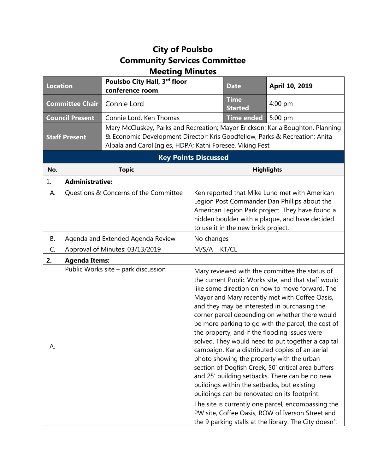## **City of Poulsbo Community Services Committee Meeting Minutes**

| <b>Location</b>             |                                   | Poulsbo City Hall, 3rd floor<br>conference room                                                                                                                                                                            |                | <b>Date</b>                         | April 10, 2019                                                                                                                                                                                                                                                                                                                                                                                                                                                                                                                                                                                                                                                                                                                                                                                                                                                                                                                                      |  |
|-----------------------------|-----------------------------------|----------------------------------------------------------------------------------------------------------------------------------------------------------------------------------------------------------------------------|----------------|-------------------------------------|-----------------------------------------------------------------------------------------------------------------------------------------------------------------------------------------------------------------------------------------------------------------------------------------------------------------------------------------------------------------------------------------------------------------------------------------------------------------------------------------------------------------------------------------------------------------------------------------------------------------------------------------------------------------------------------------------------------------------------------------------------------------------------------------------------------------------------------------------------------------------------------------------------------------------------------------------------|--|
| <b>Committee Chair</b>      |                                   | Connie Lord                                                                                                                                                                                                                |                | <b>Time</b><br><b>Started</b>       | 4:00 pm                                                                                                                                                                                                                                                                                                                                                                                                                                                                                                                                                                                                                                                                                                                                                                                                                                                                                                                                             |  |
| <b>Council Present</b>      |                                   | Connie Lord, Ken Thomas                                                                                                                                                                                                    |                | <b>Time ended</b>                   | 5:00 pm                                                                                                                                                                                                                                                                                                                                                                                                                                                                                                                                                                                                                                                                                                                                                                                                                                                                                                                                             |  |
| <b>Staff Present</b>        |                                   | Mary McCluskey, Parks and Recreation; Mayor Erickson; Karla Boughton, Planning<br>& Economic Development Director; Kris Goodfellow, Parks & Recreation; Anita<br>Albala and Carol Ingles, HDPA; Kathi Foresee, Viking Fest |                |                                     |                                                                                                                                                                                                                                                                                                                                                                                                                                                                                                                                                                                                                                                                                                                                                                                                                                                                                                                                                     |  |
| <b>Key Points Discussed</b> |                                   |                                                                                                                                                                                                                            |                |                                     |                                                                                                                                                                                                                                                                                                                                                                                                                                                                                                                                                                                                                                                                                                                                                                                                                                                                                                                                                     |  |
| No.                         |                                   | <b>Topic</b>                                                                                                                                                                                                               |                |                                     | <b>Highlights</b>                                                                                                                                                                                                                                                                                                                                                                                                                                                                                                                                                                                                                                                                                                                                                                                                                                                                                                                                   |  |
| 1.                          | <b>Administrative:</b>            |                                                                                                                                                                                                                            |                |                                     |                                                                                                                                                                                                                                                                                                                                                                                                                                                                                                                                                                                                                                                                                                                                                                                                                                                                                                                                                     |  |
| А.                          |                                   | Questions & Concerns of the Committee                                                                                                                                                                                      |                | to use it in the new brick project. | Ken reported that Mike Lund met with American<br>Legion Post Commander Dan Phillips about the<br>American Legion Park project. They have found a<br>hidden boulder with a plaque, and have decided                                                                                                                                                                                                                                                                                                                                                                                                                                                                                                                                                                                                                                                                                                                                                  |  |
| В.                          | Agenda and Extended Agenda Review |                                                                                                                                                                                                                            | No changes     |                                     |                                                                                                                                                                                                                                                                                                                                                                                                                                                                                                                                                                                                                                                                                                                                                                                                                                                                                                                                                     |  |
| C.                          | Approval of Minutes: 03/13/2019   |                                                                                                                                                                                                                            | M/S/A<br>KT/CL |                                     |                                                                                                                                                                                                                                                                                                                                                                                                                                                                                                                                                                                                                                                                                                                                                                                                                                                                                                                                                     |  |
| 2.                          | <b>Agenda Items:</b>              |                                                                                                                                                                                                                            |                |                                     |                                                                                                                                                                                                                                                                                                                                                                                                                                                                                                                                                                                                                                                                                                                                                                                                                                                                                                                                                     |  |
| А.                          |                                   | Public Works site - park discussion                                                                                                                                                                                        |                |                                     | Mary reviewed with the committee the status of<br>the current Public Works site, and that staff would<br>like some direction on how to move forward. The<br>Mayor and Mary recently met with Coffee Oasis,<br>and they may be interested in purchasing the<br>corner parcel depending on whether there would<br>be more parking to go with the parcel, the cost of<br>the property, and if the flooding issues were<br>solved. They would need to put together a capital<br>campaign. Karla distributed copies of an aerial<br>photo showing the property with the urban<br>section of Dogfish Creek, 50' critical area buffers<br>and 25' building setbacks. There can be no new<br>buildings within the setbacks, but existing<br>buildings can be renovated on its footprint.<br>The site is currently one parcel, encompassing the<br>PW site, Coffee Oasis, ROW of Iverson Street and<br>the 9 parking stalls at the library. The City doesn't |  |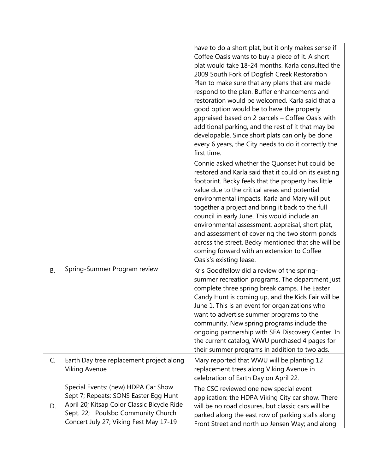|    |                                                                                                                                                                                                             | have to do a short plat, but it only makes sense if<br>Coffee Oasis wants to buy a piece of it. A short<br>plat would take 18-24 months. Karla consulted the<br>2009 South Fork of Dogfish Creek Restoration<br>Plan to make sure that any plans that are made<br>respond to the plan. Buffer enhancements and<br>restoration would be welcomed. Karla said that a<br>good option would be to have the property<br>appraised based on 2 parcels - Coffee Oasis with<br>additional parking, and the rest of it that may be<br>developable. Since short plats can only be done<br>every 6 years, the City needs to do it correctly the<br>first time. |
|----|-------------------------------------------------------------------------------------------------------------------------------------------------------------------------------------------------------------|-----------------------------------------------------------------------------------------------------------------------------------------------------------------------------------------------------------------------------------------------------------------------------------------------------------------------------------------------------------------------------------------------------------------------------------------------------------------------------------------------------------------------------------------------------------------------------------------------------------------------------------------------------|
|    |                                                                                                                                                                                                             | Connie asked whether the Quonset hut could be<br>restored and Karla said that it could on its existing<br>footprint. Becky feels that the property has little<br>value due to the critical areas and potential<br>environmental impacts. Karla and Mary will put<br>together a project and bring it back to the full<br>council in early June. This would include an<br>environmental assessment, appraisal, short plat,<br>and assessment of covering the two storm ponds<br>across the street. Becky mentioned that she will be<br>coming forward with an extension to Coffee<br>Oasis's existing lease.                                          |
| В. | Spring-Summer Program review                                                                                                                                                                                | Kris Goodfellow did a review of the spring-<br>summer recreation programs. The department just<br>complete three spring break camps. The Easter<br>Candy Hunt is coming up, and the Kids Fair will be<br>June 1. This is an event for organizations who<br>want to advertise summer programs to the<br>community. New spring programs include the<br>ongoing partnership with SEA Discovery Center. In<br>the current catalog, WWU purchased 4 pages for<br>their summer programs in addition to two ads.                                                                                                                                           |
| C. | Earth Day tree replacement project along<br><b>Viking Avenue</b>                                                                                                                                            | Mary reported that WWU will be planting 12<br>replacement trees along Viking Avenue in<br>celebration of Earth Day on April 22.                                                                                                                                                                                                                                                                                                                                                                                                                                                                                                                     |
| D. | Special Events: (new) HDPA Car Show<br>Sept 7; Repeats: SONS Easter Egg Hunt<br>April 20; Kitsap Color Classic Bicycle Ride<br>Sept. 22; Poulsbo Community Church<br>Concert July 27; Viking Fest May 17-19 | The CSC reviewed one new special event<br>application: the HDPA Viking City car show. There<br>will be no road closures, but classic cars will be<br>parked along the east row of parking stalls along<br>Front Street and north up Jensen Way; and along                                                                                                                                                                                                                                                                                                                                                                                           |